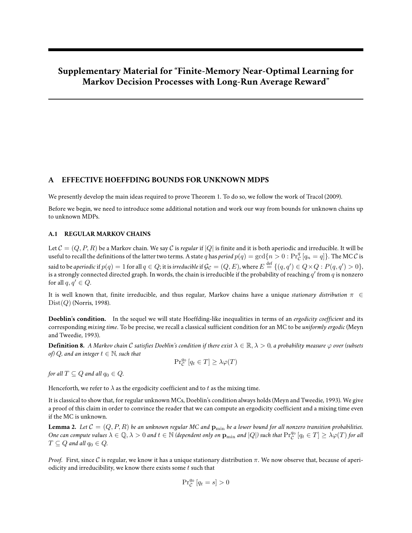# **Supplementary Material for "Finite-Memory Near-Optimal Learning for Markov Decision Processes with Long-Run Average Reward"**

# **A EFFECTIVE HOEFFDING BOUNDS FOR UNKNOWN MDPS**

We presently develop the main ideas required to prove Theorem 1. To do so, we follow the work of Tracol (2009).

Before we begin, we need to introduce some additional notation and work our way from bounds for unknown chains up to unknown MDPs.

### **A.1 REGULAR MARKOV CHAINS**

Let  $C = (Q, P, R)$  be a Markov chain. We say C is *regular* if  $|Q|$  is finite and it is both aperiodic and irreducible. It will be useful to recall the definitions of the latter two terms. A state  $q$  has  $period$   $p(q)=\gcd\{n>0:\Pr_\mathcal{C}^q[q_n=q]\}.$  The MC  $\mathcal C$  is said to be *aperiodic* if  $p(q)=1$  for all  $q\in Q$ ; it is *irreducible* if  $\mathcal{G}_{\mathcal{C}}=(Q,E)$ , where  $E\stackrel{\rm def}{=}\{(q,q')\in Q\times Q: P(q,q')>0\},$ is a strongly connected directed graph. In words, the chain is irreducible if the probability of reaching  $q'$  from  $q$  is nonzero for all  $q, q' \in Q$ .

It is well known that, finite irreducible, and thus regular, Markov chains have a unique *stationary distribution* π ∈  $Dist(Q)$  (Norris, 1998).

**Doeblin's condition.** In the sequel we will state Hoeffding-like inequalities in terms of an *ergodicity coefficient* and its corresponding *mixing time*. To be precise, we recall a classical sufficient condition for an MC to be *uniformly ergodic* (Meyn and Tweedie, 1993).

**Definition 8.** *A Markov chain* C *satisfies Doeblin's condition if there exist*  $\lambda \in \mathbb{R}, \lambda > 0$ , a probability measure  $\varphi$  over (subsets *of)*  $Q$ *, and an integer*  $t \in \mathbb{N}$ *, such that* 

$$
\Pr_{\mathcal{C}}^{q_0} [q_t \in T] \geq \lambda \varphi(T)
$$

*for all*  $T \subseteq Q$  *and all*  $q_0 \in Q$ *.* 

Henceforth, we refer to  $\lambda$  as the ergodicity coefficient and to t as the mixing time.

It is classical to show that, for regular unknown MCs, Doeblin's condition always holds (Meyn and Tweedie, 1993). We give a proof of this claim in order to convince the reader that we can compute an ergodicity coefficient and a mixing time even if the MC is unknown.

**Lemma 2.** Let  $C = (Q, P, R)$  be an unknown regular MC and  $p_{\min}$  be a lower bound for all nonzero transition probabilities. One can compute values  $\lambda \in \mathbb{Q}, \lambda > 0$  and  $t \in \mathbb{N}$  (dependent only on  $\mathbf{p}_{\min}$  and  $|Q|$ ) such that  $\Pr_{\mathcal{C}}^{q_0}[q_t \in T] \geq \lambda \varphi(T)$  for all  $T \subseteq Q$  and all  $q_0 \in Q$ .

*Proof.* First, since C is regular, we know it has a unique stationary distribution  $\pi$ . We now observe that, because of aperiodicity and irreducibility, we know there exists some  $t$  such that

$$
\Pr_{\mathcal{C}}^{q_0} [q_t = s] > 0
$$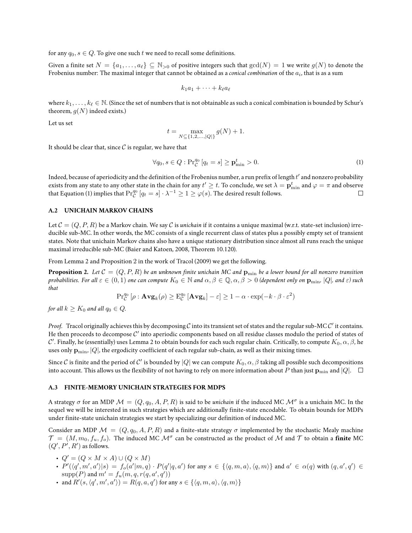for any  $q_0, s \in Q$ . To give one such t we need to recall some definitions.

Given a finite set  $N = \{a_1, \ldots, a_\ell\} \subseteq \mathbb{N}_{>0}$  of positive integers such that  $gcd(N) = 1$  we write  $g(N)$  to denote the Frobenius number: The maximal integer that cannot be obtained as a *conical combination* of the  $a_i$ , that is as a sum

$$
k_1a_1+\cdots+k_\ell a_\ell
$$

where  $k_1, \ldots, k_\ell \in \mathbb{N}$ . (Since the set of numbers that is not obtainable as such a conical combination is bounded by Schur's theorem,  $g(N)$  indeed exists.)

Let us set

$$
t = \max_{N \subseteq \{1, 2, \dots, |Q|\}} g(N) + 1.
$$

It should be clear that, since  $\mathcal C$  is regular, we have that

$$
\forall q_0, s \in Q : \Pr_{\mathcal{C}}^{q_0} \left[ q_t = s \right] \ge \mathbf{p}_{\min}^t > 0. \tag{1}
$$

Indeed, because of aperiodicity and the definition of the Frobenius number, a run prefix of length  $t'$  and nonzero probability exists from any state to any other state in the chain for any  $t'\geq t.$  To conclude, we set  $\lambda=\mathbf{p}_{\min}^t$  and  $\varphi=\pi$  and observe that Equation (1) implies that  $\Pr_{\mathcal{C}}^{q_0}\left[q_t=s\right]\cdot\lambda^{-1}\geq 1\geq \varphi(s).$  The desired result follows.

### **A.2 UNICHAIN MARKOV CHAINS**

Let  $C = (Q, P, R)$  be a Markov chain. We say C is *unichain* if it contains a unique maximal (w.r.t. state-set inclusion) irreducible sub-MC. In other words, the MC consists of a single recurrent class of states plus a possibly empty set of transient states. Note that unichain Markov chains also have a unique stationary distribution since almost all runs reach the unique maximal irreducible sub-MC (Baier and Katoen, 2008, Theorem 10.120).

From Lemma 2 and Proposition 2 in the work of Tracol (2009) we get the following.

**Proposition 2.** Let  $C = (Q, P, R)$  be an unknown finite unichain MC and  $\mathbf{p}_{\min}$  be a lower bound for all nonzero transition *probabilities. For all*  $\varepsilon \in (0, 1)$  *one can compute*  $K_0 \in \mathbb{N}$  *and*  $\alpha, \beta \in \mathbb{Q}, \alpha, \beta > 0$  *(dependent only on*  $\mathbf{p}_{\min}$ ,  $|Q|$ *, and*  $\varepsilon$ *) such that*

$$
\mathrm{Pr}_{\mathcal{C}}^{q_0}\left[\rho:\mathbf{Avg}_k(\rho)\geq \mathrm{E}_{\mathcal{C}}^{q_0}\left[\mathbf{Avg}_k\right]-\varepsilon\right]\geq 1-\alpha\cdot\exp(-k\cdot\beta\cdot\varepsilon^2)
$$

*for all*  $k > K_0$  *and all*  $q_0 \in Q$ *.* 

*Proof.* Tracol originally achieves this by decomposing  $C$  into its transient set of states and the regular sub-MC  $C'$  it contains. He then proceeds to decompose  $\mathcal C'$  into aperiodic components based on all residue classes modulo the period of states of  $\mathcal C'.$  Finally, he (essentially) uses Lemma 2 to obtain bounds for each such regular chain. Critically, to compute  $K_0,\alpha,\beta$ , he uses only  $\mathbf{p}_{\min}$ ,  $|Q|$ , the ergodicity coefficient of each regular sub-chain, as well as their mixing times.

Since  $\cal C$  is finite and the period of  $C'$  is bounded by  $|Q|$  we can compute  $K_0,\alpha,\beta$  taking all possible such decompositions into account. This allows us the flexibility of not having to rely on more information about P than just  $\mathbf{p}_{\min}$  and |Q|.  $\Box$ 

#### **A.3 FINITE-MEMORY UNICHAIN STRATEGIES FOR MDPS**

A strategy  $\sigma$  for an MDP  $\mathcal{M}=(Q,q_0,A,P,R)$  is said to be *unichain* if the induced MC  $\mathcal{M}^\sigma$  is a unichain MC. In the sequel we will be interested in such strategies which are additionally finite-state encodable. To obtain bounds for MDPs under finite-state unichain strategies we start by specializing our definition of induced MC.

Consider an MDP  $\mathcal{M} = (Q, q_0, A, P, R)$  and a finite-state strategy  $\sigma$  implemented by the stochastic Mealy machine  $\mathcal{T}=(M,m_0,f_u,f_o).$  The induced MC  $\mathcal{M}^\sigma$  can be constructed as the product of  $\mathcal M$  and  $\mathcal T$  to obtain a **finite** MC  $(Q', P', R')$  as follows.

- $Q' = (Q \times M \times A) \cup (Q \times M)$
- $\bullet$   $P'(\langle q',m',a' \rangle | s) = f_o(a'|m,q) \cdot P(q'|q,a')$  for any  $s \in \{\langle q,m,a \rangle, \langle q,m \rangle\}$  and  $a' \in \alpha(q)$  with  $(q,a',q') \in$  ${\rm supp}(P)$  and  $m'=f_u(m,q,r(q,a',q'))$
- and  $R'(s, \langle q', m', a' \rangle) = R(q, a, q')$  for any  $s \in \{ \langle q, m, a \rangle, \langle q, m \rangle \}$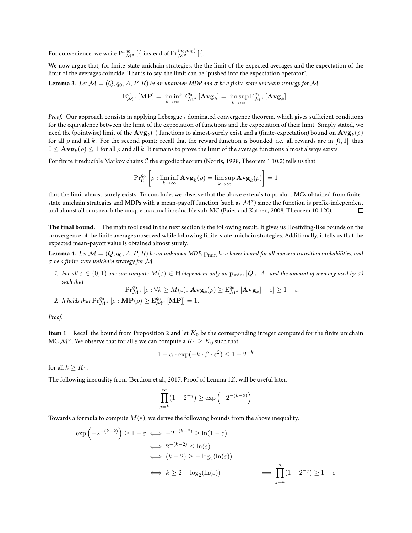For convenience, we write  $\Pr^{q_0}_{\mathcal{M}^\sigma}[\cdot]$  instead of  $\Pr^{ \langle q_0,m_0\rangle}_{\mathcal{M}^\sigma}[\cdot].$ 

We now argue that, for finite-state unichain strategies, the the limit of the expected averages and the expectation of the limit of the averages coincide. That is to say, the limit can be "pushed into the expectation operator".

**Lemma 3.** Let  $\mathcal{M} = (Q, q_0, A, P, R)$  be an unknown MDP and  $\sigma$  be a finite-state unichain strategy for  $\mathcal{M}$ .

$$
\mathrm{E}^{q_0}_{\mathcal{M}^{\sigma}}\left[\mathbf{MP}\right] = \liminf_{k \to \infty} \mathrm{E}^{q_0}_{\mathcal{M}^{\sigma}}\left[\mathbf{Avg}_k\right] = \limsup_{k \to \infty} \mathrm{E}^{q_0}_{\mathcal{M}^{\sigma}}\left[\mathbf{Avg}_k\right].
$$

*Proof.* Our approach consists in applying Lebesgue's dominated convergence theorem, which gives sufficient conditions for the equivalence between the limit of the expectation of functions and the expectation of their limit. Simply stated, we need the (pointwise) limit of the  $\mathbf{Avg}_k(\cdot)$  functions to almost-surely exist and a (finite-expectation) bound on  $\mathbf{Avg}_k(\rho)$ for all  $\rho$  and all k. For the second point: recall that the reward function is bounded, i.e. all rewards are in [0, 1], thus  $0\leq {\bf Avg}_k(\rho)\leq 1$  for all  $\rho$  and all  $k.$  It remains to prove the limit of the average functions almost always exists.

For finite irreducible Markov chains  $C$  the ergodic theorem (Norris, 1998, Theorem 1.10.2) tells us that

$$
\mathrm{Pr}_{\mathcal{C}}^{q_0} \left[ \rho : \liminf_{k \to \infty} \mathbf{Avg}_k(\rho) = \limsup_{k \to \infty} \mathbf{Avg}_k(\rho) \right] = 1
$$

thus the limit almost-surely exists. To conclude, we observe that the above extends to product MCs obtained from finitestate unichain strategies and MDPs with a mean-payoff function (such as  $\mathcal{M}^\sigma$ ) since the function is prefix-independent and almost all runs reach the unique maximal irreducible sub-MC (Baier and Katoen, 2008, Theorem 10.120).  $\Box$ 

**The final bound.** The main tool used in the next section is the following result. It gives us Hoeffding-like bounds on the convergence of the finite averages observed while following finite-state unichain strategies. Additionally, it tells us that the expected mean-payoff value is obtained almost surely.

**Lemma 4.** Let  $\mathcal{M} = (Q, q_0, A, P, R)$  be an unknown MDP,  $p_{\min}$  be a lower bound for all nonzero transition probabilities, and σ *be a finite-state unichain strategy for* M*.*

*1.* For all  $\varepsilon \in (0,1)$  one can compute  $M(\varepsilon) \in \mathbb{N}$  (dependent only on  $\mathbf{p}_{\min}$ , |Q|, |A|, and the amount of memory used by  $\sigma$ ) *such that*

$$
\mathrm{Pr}^{q_0}_{\mathcal{M}^\sigma}\left[\rho: \forall k\geq M(\varepsilon),\,\mathbf{Avg}_k(\rho)\geq \mathrm{E}^{q_0}_{\mathcal{M}^\sigma}\left[\mathbf{Avg}_k\right]-\varepsilon\right]\geq 1-\varepsilon.
$$

2. It holds that  $\Pr_{\mathcal{M}^{\sigma}}^{q_0}[\rho : \mathbf{MP}(\rho) \geq \mathrm{E}_{\mathcal{M}^{\sigma}}^{q_0}[\mathbf{MP}]] = 1.$ 

*Proof.*

**Item 1** Recall the bound from Proposition 2 and let  $K_0$  be the corresponding integer computed for the finite unichain MC  $\mathcal{M}^\sigma.$  We observe that for all  $\varepsilon$  we can compute a  $K_1\geq K_0$  such that

$$
1 - \alpha \cdot \exp(-k \cdot \beta \cdot \varepsilon^2) \le 1 - 2^{-k}
$$

for all  $k > K_1$ .

The following inequality from (Berthon et al., 2017, Proof of Lemma 12), will be useful later.

$$
\prod_{j=k}^{\infty} (1 - 2^{-j}) \ge \exp\left(-2^{-(k-2)}\right)
$$

Towards a formula to compute  $M(\varepsilon)$ , we derive the following bounds from the above inequality.

$$
\exp\left(-2^{-(k-2)}\right) \ge 1 - \varepsilon \iff -2^{-(k-2)} \ge \ln(1-\varepsilon)
$$
  
\n
$$
\iff 2^{-(k-2)} \le \ln(\varepsilon)
$$
  
\n
$$
\iff (k-2) \ge -\log_2(\ln(\varepsilon))
$$
  
\n
$$
\iff k \ge 2 - \log_2(\ln(\varepsilon)) \iff \prod_{j=k}^{\infty} (1 - 2^{-j}) \ge 1 - \varepsilon
$$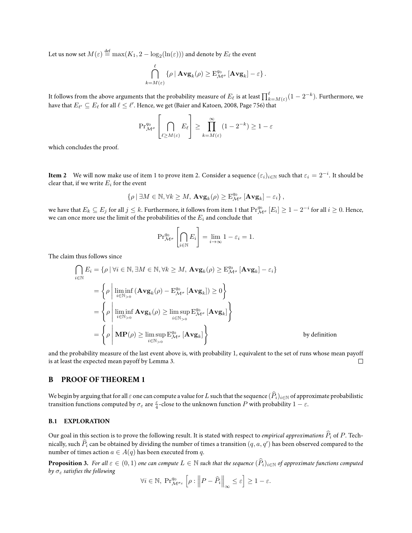Let us now set  $M(\varepsilon) \stackrel{\text{def}}{=} \max(K_1, 2 - \log_2(\ln(\varepsilon)))$  and denote by  $E_\ell$  the event

$$
\bigcap_{k=M(\varepsilon)}^{\ell} \{ \rho \mid \mathbf{Avg}_k(\rho) \geq \mathrm{E}^{q_0}_{\mathcal{M}^{\sigma}} \left[ \mathbf{Avg}_k \right] - \varepsilon \}.
$$

It follows from the above arguments that the probability measure of  $E_\ell$  is at least  $\prod_{k=M(\varepsilon)}^\ell(1-2^{-k})$ . Furthermore, we have that  $E_{\ell'} \subseteq E_\ell$  for all  $\ell \leq \ell'.$  Hence, we get (Baier and Katoen, 2008, Page 756) that

$$
\Pr_{\mathcal{M}^{\sigma}}^{q_0} \left[ \bigcap_{\ell \ge M(\varepsilon)} E_{\ell} \right] \ge \prod_{k=M(\varepsilon)}^{\infty} (1 - 2^{-k}) \ge 1 - \varepsilon
$$

which concludes the proof.

**Item 2** We will now make use of item 1 to prove item 2. Consider a sequence  $(\varepsilon_i)_{i\in\mathbb{N}}$  such that  $\varepsilon_i=2^{-i}.$  It should be clear that, if we write  $E_i$  for the event

$$
\left\{ \rho \, | \, \exists M \in \mathbb{N}, \forall k \geq M, \, \mathbf{Avg}_k(\rho) \geq \mathrm{E}^{q_0}_{\mathcal{M}^{\sigma}} \left[ \mathbf{Avg}_k \right] - \varepsilon_i \right\},
$$

we have that  $E_k\subseteq E_j$  for all  $j\le k.$  Furthermore, it follows from item 1 that  $\Pr^{q_0}_{\mathcal{M}^\sigma}\left[E_i\right]\ge 1-2^{-i}$  for all  $i\ge 0.$  Hence, we can once more use the limit of the probabilities of the  $\mathcal{E}_i$  and conclude that

$$
\Pr_{\mathcal{M}^{\sigma}}^{q_0} \left[ \bigcap_{i \in \mathbb{N}} E_i \right] = \lim_{i \to \infty} 1 - \varepsilon_i = 1.
$$

The claim thus follows since

$$
\bigcap_{i \in \mathbb{N}} E_i = \{ \rho \mid \forall i \in \mathbb{N}, \exists M \in \mathbb{N}, \forall k \ge M, \mathbf{Avg}_k(\rho) \ge E_{\mathcal{M}^\sigma}^{q_0} \left[ \mathbf{Avg}_k \right] - \varepsilon_i \}
$$
\n
$$
= \left\{ \rho \left| \liminf_{i \in \mathbb{N}_{>0}} (\mathbf{Avg}_k(\rho) - \mathbf{E}_{\mathcal{M}^\sigma}^{q_0} \left[ \mathbf{Avg}_k \right]) \ge 0 \right\} \right\}
$$
\n
$$
= \left\{ \rho \left| \liminf_{i \in \mathbb{N}_{>0}} \mathbf{Avg}_k(\rho) \ge \limsup_{i \in \mathbb{N}_{>0}} \mathbf{E}_{\mathcal{M}^\sigma}^{q_0} \left[ \mathbf{Avg}_k \right] \right\}
$$
\n
$$
= \left\{ \rho \left| \mathbf{MP}(\rho) \ge \limsup_{i \in \mathbb{N}_{>0}} \mathbf{E}_{\mathcal{M}^\sigma}^{q_0} \left[ \mathbf{Avg}_k \right] \right\} \right\}
$$
\nby definition

and the probability measure of the last event above is, with probability 1, equivalent to the set of runs whose mean payoff is at least the expected mean payoff by Lemma 3.  $\Box$ 

# **B PROOF OF THEOREM 1**

We begin by arguing that for all  $\varepsilon$  one can compute a value for L such that the sequence  $(\widehat{P}_i)_{i\in\mathbb{N}}$  of approximate probabilistic transition functions computed by  $\sigma_\varepsilon$  are  $\frac{\varepsilon}{4}$ -close to the unknown function  $P$  with probability  $1-\varepsilon$ .

### **B.1 EXPLORATION**

Our goal in this section is to prove the following result. It is stated with respect to *empirical approximations*  $\widehat{P}_i$  of P. Technically, such  $\widehat{P}_i$  can be obtained by dividing the number of times a transition  $(q, a, q')$  has been observed compared to the number of times action  $a \in A(q)$  has been executed from q.

**Proposition 3.** For all  $\varepsilon \in (0,1)$  one can compute  $L \in \mathbb{N}$  such that the sequence  $(\widehat{P}_i)_{i\in\mathbb{N}}$  of approximate functions computed *by* σ<sup>ε</sup> *satisfies the following*

$$
\forall i \in \mathbb{N}, \; \Pr_{\mathcal{M}^{\sigma_{\varepsilon}}}^{q_0} \left[ \rho : \left\| P - \widehat{P}_i \right\|_{\infty} \le \varepsilon \right] \ge 1 - \varepsilon.
$$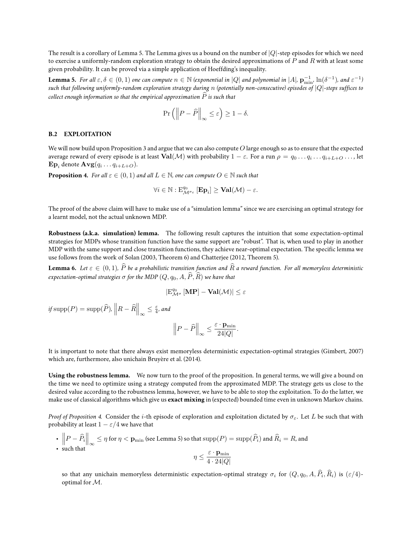The result is a corollary of Lemma 5. The Lemma gives us a bound on the number of  $|Q|$ -step episodes for which we need to exercise a uniformly-random exploration strategy to obtain the desired approximations of  $P$  and  $R$  with at least some given probability. It can be proved via a simple application of Hoeffding's inequality.

Lemma 5. For all  $\varepsilon, \delta \in (0,1)$  one can compute  $n \in \mathbb{N}$  (exponential in  $|Q|$  and polynomial in  $|A|$ ,  $\mathbf{p}_{\min}^{-1}$ ,  $\ln(\delta^{-1})$ , and  $\varepsilon^{-1})$ *such that following uniformly-random exploration strategy during* n *(potentially non-consecutive) episodes of* |Q|*-steps suffices to collect enough information so that the empirical approximation*  $\widehat{P}$  *is such that* 

$$
\Pr\left(\left\|P-\widehat{P}\right\|_{\infty}\leq\varepsilon\right)\geq1-\delta.
$$

# **B.2 EXPLOITATION**

We will now build upon Proposition 3 and argue that we can also compute  $O$  large enough so as to ensure that the expected average reward of every episode is at least  $\mathrm{Val}(\mathcal{M})$  with probability  $1-\varepsilon.$  For a run  $\rho=q_0\ldots q_i\ldots q_{i+L+O}\ldots$  , let  $\mathbf{Ep}_i$  denote  $\mathbf{Avg}(q_i \ldots q_{i+L+O}).$ 

**Proposition 4.** For all  $\varepsilon \in (0, 1)$  and all  $L \in \mathbb{N}$ , one can compute  $O \in \mathbb{N}$  such that

$$
\forall i \in \mathbb{N}: \mathrm{E}^{q_0}_{\mathcal{M}^{\sigma_{\varepsilon}}} \left[ \mathbf{Ep}_i \right] \geq \mathbf{Val}(\mathcal{M}) - \varepsilon.
$$

The proof of the above claim will have to make use of a "simulation lemma" since we are exercising an optimal strategy for a learnt model, not the actual unknown MDP.

**Robustness (a.k.a. simulation) lemma.** The following result captures the intuition that some expectation-optimal strategies for MDPs whose transition function have the same support are "robust". That is, when used to play in another MDP with the same support and close transition functions, they achieve near-optimal expectation. The specific lemma we use follows from the work of Solan (2003, Theorem 6) and Chatterjee (2012, Theorem 5).

**Lemma 6.** Let  $\varepsilon \in (0,1)$ ,  $\widehat{P}$  be a probabilistic transition function and  $\widehat{R}$  a reward function. For all memoryless deterministic *expectation-optimal strategies*  $\sigma$  *for the MDP*  $(Q, q_0, A, \widehat{P}, \widehat{R})$  *we have that* 

$$
|\mathrm{E}^{q_0}_{\mathcal{M}^\sigma}\left[\mathbf{MP}\right] - \mathbf{Val}(\mathcal{M})| \leq \varepsilon
$$

if  $\mathrm{supp}(P) = \mathrm{supp}(\widehat{P})$ ,  $\left\| R - \widehat{R} \right\|_{\infty} \leq \frac{\varepsilon}{4}$ , and

$$
\left\|P - \widehat{P}\right\|_{\infty} \leq \frac{\varepsilon \cdot \mathbf{p}_{\min}}{24|Q|}.
$$

It is important to note that there always exist memoryless deterministic expectation-optimal strategies (Gimbert, 2007) which are, furthermore, also unichain Bruyère et al. (2014).

**Using the robustness lemma.** We now turn to the proof of the proposition. In general terms, we will give a bound on the time we need to optimize using a strategy computed from the approximated MDP. The strategy gets us close to the desired value according to the robustness lemma, however, we have to be able to stop the exploitation. To do the latter, we make use of classical algorithms which give us **exact mixing** in (expected) bounded time even in unknown Markov chains.

*Proof of Proposition 4.* Consider the *i*-th episode of exploration and exploitation dictated by  $\sigma_{\varepsilon}$ . Let L be such that with probability at least  $1 - \varepsilon/4$  we have that

- $\left\|P \widehat{P}_i\right\|_{\infty} \leq \eta$  for  $\eta < \mathbf{p}_{\min}$  (see Lemma 5) so that  $\mathrm{supp}(P) = \mathrm{supp}(\widehat{P}_i)$  and  $\widehat{R}_i = R$ , and
- such that

$$
\eta \le \frac{\varepsilon \cdot \mathbf{p}_{\min}}{4 \cdot 24|Q|}
$$

so that any unichain memoryless deterministic expectation-optimal strategy  $\sigma_i$  for  $(Q, q_0, A, P_i, R_i)$  is  $(\varepsilon/4)$ optimal for M.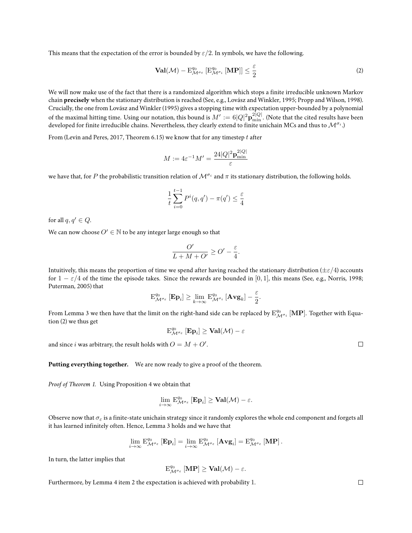This means that the expectation of the error is bounded by  $\epsilon/2$ . In symbols, we have the following.

$$
\mathbf{Val}(\mathcal{M}) - \mathbf{E}_{\mathcal{M}^{\sigma_{\varepsilon}}}^{q_0} [\mathbf{E}_{\mathcal{M}^{\sigma_i}}^{q_0} [\mathbf{MP}]] \le \frac{\varepsilon}{2}
$$
 (2)

We will now make use of the fact that there is a randomized algorithm which stops a finite irreducible unknown Markov chain **precisely** when the stationary distribution is reached (See, e.g., Lovász and Winkler, 1995; Propp and Wilson, 1998). Crucially, the one from Lovász and Winkler (1995) gives a stopping time with expectation upper-bounded by a polynomial of the maximal hitting time. Using our notation, this bound is  $M':=6|Q|^2\mathbf{p}_{\rm min}^{2|Q|}.$  (Note that the cited results have been developed for finite irreducible chains. Nevertheless, they clearly extend to finite unichain MCs and thus to  $\mathcal{M}^{\sigma_i}$ .)

From (Levin and Peres, 2017, Theorem 6.15) we know that for any timestep  $t$  after

$$
M:=4\varepsilon^{-1}M'=\frac{24|Q|^2\mathbf{p}_{\min}^{2|Q|}}{\varepsilon}
$$

we have that, for P the probabilistic transition relation of  $\mathcal{M}^{\sigma_i}$  and  $\pi$  its stationary distribution, the following holds.

$$
\frac{1}{t}\sum_{i=0}^{t-1}P^i(q,q') - \pi(q') \le \frac{\varepsilon}{4}
$$

for all  $q, q' \in Q$ .

We can now choose  $O'\in\mathbb{N}$  to be any integer large enough so that

$$
\frac{O'}{L+M+O'} \ge O'-\frac{\varepsilon}{4}.
$$

Intuitively, this means the proportion of time we spend after having reached the stationary distribution ( $\pm \varepsilon/4$ ) accounts for  $1 - \varepsilon/4$  of the time the episode takes. Since the rewards are bounded in [0, 1], this means (See, e.g., Norris, 1998; Puterman, 2005) that

$$
\mathrm{E}^{q_0}_{\mathcal{M}^{\sigma_{\varepsilon}}}\left[\mathbf{E}\mathbf{p}_i\right] \geq \lim_{k\to\infty} \mathrm{E}^{q_0}_{\mathcal{M}^{\sigma_i}}\left[\mathbf{Avg}_k\right] - \frac{\varepsilon}{2}.
$$

From Lemma 3 we then have that the limit on the right-hand side can be replaced by  $E^{q_0}_{\cal M}$  [MP]. Together with Equation (2) we thus get

$$
\textnormal E^{q_0}_{\mathcal M^{\sigma_{\varepsilon}}}\left[\mathbf E\mathbf p_i\right]\geq \mathbf{Val}(\mathcal M)-\varepsilon
$$

and since i was arbitrary, the result holds with  $\overline{O} = M + O'.$ 

**Putting everything together.** We are now ready to give a proof of the theorem.

*Proof of Theorem 1.* Using Proposition 4 we obtain that

$$
\lim_{i\to\infty} \mathrm{E}^{q_0}_{\mathcal{M}^{\sigma_{\varepsilon}}} \left[ \mathbf{Ep}_i \right] \geq \mathbf{Val}(\mathcal{M}) - \varepsilon.
$$

Observe now that  $\sigma_{\varepsilon}$  is a finite-state unichain strategy since it randomly explores the whole end component and forgets all it has learned infinitely often. Hence, Lemma 3 holds and we have that

$$
\lim_{i\rightarrow\infty}\mathrm{E}^{q_0}_{\mathcal{M}^{\sigma_{\varepsilon}}}\left[\mathbf{E}\mathbf{p}_i\right]=\lim_{i\rightarrow\infty}\mathrm{E}^{q_0}_{\mathcal{M}^{\sigma_{\varepsilon}}}\left[\mathbf{Avg}_i\right]=\mathrm{E}^{q_0}_{\mathcal{M}^{\sigma_{\varepsilon}}}\left[\mathbf{MP}\right].
$$

In turn, the latter implies that

$$
\mathrm{E}^{q_0}_{\mathcal{M}^{\sigma_{\varepsilon}}}\left[\mathbf{MP}\right]\geq\mathbf{Val}(\mathcal{M})-\varepsilon.
$$

Furthermore, by Lemma 4 item 2 the expectation is achieved with probability 1.

 $\Box$ 

 $\Box$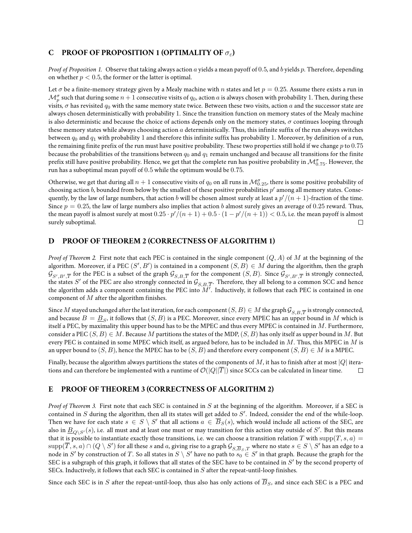# **C PROOF OF PROPOSITION 1 (OPTIMALITY OF** σε**)**

*Proof of Proposition 1.* Observe that taking always action a yields a mean payoff of 0.5, and b yields p. Therefore, depending on whether  $p < 0.5$ , the former or the latter is optimal.

Let  $\sigma$  be a finite-memory strategy given by a Mealy machine with n states and let  $p = 0.25$ . Assume there exists a run in  $\mathcal{M}^\sigma_p$  such that during some  $n+1$  consecutive visits of  $q_0$ , action  $a$  is always chosen with probability  $1.$  Then, during these visits, σ has revisited  $q_0$  with the same memory state twice. Between these two visits, action a and the successor state are always chosen deterministically with probability 1. Since the transition function on memory states of the Mealy machine is also deterministic and because the choice of actions depends only on the memory states,  $\sigma$  continues looping through these memory states while always choosing action  $a$  deterministically. Thus, this infinite suffix of the run always switches between  $q_0$  and  $q_1$  with probability 1 and therefore this infinite suffix has probability 1. Moreover, by definition of a run, the remaining finite prefix of the run must have positive probability. These two properties still hold if we change  $p$  to  $0.75$ because the probabilities of the transitions between  $q_0$  and  $q_1$  remain unchanged and because all transitions for the finite prefix still have positive probability. Hence, we get that the complete run has positive probability in  $\mathcal{M}_{0.75}^\sigma$ . However, the run has a suboptimal mean payoff of 0.5 while the optimum would be 0.75.

Otherwise, we get that during all  $n+1$  consecutive visits of  $q_0$  on all runs in  $\mathcal{M}_{0.25}^\sigma$ , there is some positive probability of choosing action  $b$ , bounded from below by the smallest of these positive probabilities  $p'$  among all memory states. Consequently, by the law of large numbers, that action  $b$  will be chosen almost surely at least a  $p^\prime/(n+1)$ -fraction of the time. Since  $p = 0.25$ , the law of large numbers also implies that action b almost surely gives an average of 0.25 reward. Thus, the mean payoff is almost surely at most  $0.25\cdot p'/(n+1)+0.5\cdot (1-p'/(n+1)) < 0.5$ , i.e. the mean payoff is almost surely suboptimal.  $\Box$ 

# **D PROOF OF THEOREM 2 (CORRECTNESS OF ALGORITHM 1)**

*Proof of Theorem 2.* First note that each PEC is contained in the single component  $(Q, A)$  of M at the beginning of the algorithm. Moreover, if a PEC  $(S', B')$  is contained in a component  $(S, B) \in M$  during the algorithm, then the graph  $\mathcal{G}_{S',B',\overline{T}}$  for the PEC is a subset of the graph  $\mathcal{G}_{S,B,\overline{T}}$  for the component  $(S,B)$ . Since  $\mathcal{G}_{S',B',\overline{T}}$  is strongly connected, the states S' of the PEC are also strongly connected in  $\mathcal{G}_{S,B,\overline{T}}$ . Therefore, they all belong to a common SCC and hence the algorithm adds a component containing the PEC into  $\widetilde{M'}$ . Inductively, it follows that each PEC is contained in one component of  $M$  after the algorithm finishes.

Since  $M$  stayed unchanged after the last iteration, for each component  $(S,B)\in M$  the graph  $\mathcal{G}_{S,B,\overline{T}}$  is strongly connected, and because  $B=\underline{B}_S$ , it follows that  $(S,B)$  is a PEC. Moreover, since every MPEC has an upper bound in  $M$  which is itself a PEC, by maximality this upper bound has to be the MPEC and thus every MPEC is contained in  $M$ . Furthermore, consider a PEC  $(S, B) \in M$ . Because M partitions the states of the MDP,  $(S, B)$  has only itself as upper bound in M. But every PEC is contained in some MPEC which itself, as argued before, has to be included in M. Thus, this MPEC in M is an upper bound to  $(S, B)$ , hence the MPEC has to be  $(S, B)$  and therefore every component  $(S, B) \in M$  is a MPEC.

Finally, because the algorithm always partitions the states of the components of M, it has to finish after at most  $|Q|$  iterations and can therefore be implemented with a runtime of  $\mathcal{O}(|Q||\overline{T}|)$  since SCCs can be calculated in linear time.  $\Box$ 

# **E PROOF OF THEOREM 3 (CORRECTNESS OF ALGORITHM 2)**

*Proof of Theorem 3.* First note that each SEC is contained in S at the beginning of the algorithm. Moreover, if a SEC is contained in  $S$  during the algorithm, then all its states will get added to  $S'$ . Indeed, consider the end of the while-loop. Then we have for each state  $s\,\in\,S\setminus S'$  that all actions  $a\,\in\,\overline{B}_S(s)$ , which would include all actions of the SEC, are also in  $\underline{B}_{Q\setminus S'}(s)$ , i.e. all must and at least one must or may transition for this action stay outside of  $S'.$  But this means that it is possible to instantiate exactly those transitions, i.e. we can choose a transition relation T with supp $(T, s, a)$  ${\rm supp}(\overline{T},s,a)\cap (Q\setminus S')$  for all these  $s$  and  $a$ , giving rise to a graph  $\mathcal{G}_{S,\overline{B}_S,T}$  where no state  $s\in S\setminus S'$  has an edge to a node in S' by construction of T. So all states in  $S \setminus S'$  have no path to  $s_0 \in S'$  in that graph. Because the graph for the SEC is a subgraph of this graph, it follows that all states of the SEC have to be contained in  $S'$  by the second property of SECs. Inductively, it follows that each SEC is contained in S after the repeat-until-loop finishes.

Since each SEC is in S after the repeat-until-loop, thus also has only actions of  $\overline{B}_S$ , and since each SEC is a PEC and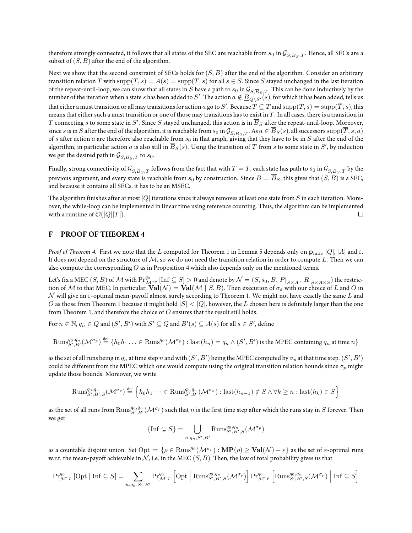therefore strongly connected, it follows that all states of the SEC are reachable from  $s_0$  in  $\mathcal{G}_{S,\overline{B}_S,\overline{T}}.$  Hence, all SECs are a subset of  $(S, B)$  after the end of the algorithm.

Next we show that the second constraint of SECs holds for  $(S, B)$  after the end of the algorithm. Consider an arbitrary transition relation T with  $\text{supp}(T, s) = A(s) = \text{supp}(\overline{T}, s)$  for all  $s \in S$ . Since S stayed unchanged in the last iteration of the repeat-until-loop, we can show that all states in S have a path to  $s_0$  in  $\mathcal{G}_{S,\overline{B}\subset T}$ . This can be done inductively by the number of the iteration when a state s has been added to S'. The action  $a \notin \underline{B_{Q\setminus S'}(s)}$ , for which it has been added, tells us that either a must transition or all may transitions for action  $a$  go to  $S'$ . Because  $\underline{T}\subseteq T$  and  $\mathrm{supp}(T,s)=\mathrm{supp}(\overline{T},s)$ , this means that either such a must transition or one of those may transitions has to exist in  $T$ . In all cases, there is a transition in  $T$  connecting  $s$  to some state in  $S'.$  Since  $S$  stayed unchanged, this action is in  $\overline{B}_S$  after the repeat-until-loop. Moreover, since  $s$  is in  $S$  after the end of the algorithm, it is reachable from  $s_0$  in  $\mathcal{G}_{S,\overline{B}_S,\overline{T}}.$  As  $a\in\overline{B}_S(s)$ , all successors  ${\rm supp}(\overline{T},s,a)$ of s after action a are therefore also reachable from  $s_0$  in that graph, giving that they have to be in S after the end of the algorithm, in particular action  $a$  is also still in  $\overline{B}_S(s)$ . Using the transition of  $T$  from  $s$  to some state in  $S'$ , by induction we get the desired path in  $\mathcal{G}_{S,\overline{B}_{S},T}$  to  $s_0$ .

Finally, strong connectivity of  $\mathcal{G}_{S,\overline{B}_S,\overline{T}}$  follows from the fact that with  $T=T$ , each state has path to  $s_0$  in  $\mathcal{G}_{S,\overline{B}_S,\overline{T}}$  by the previous argument, and every state is reachable from  $s_0$  by construction. Since  $B = \overline{B}_S$ , this gives that  $(S, B)$  is a SEC, and because it contains all SECs, it has to be an MSEC.

The algorithm finishes after at most  $|Q|$  iterations since it always removes at least one state from S in each iteration. Moreover, the while-loop can be implemented in linear time using reference counting. Thus, the algorithm can be implemented with a runtime of  $\mathcal{O}(|Q||\overline{T}|)$ .  $\Box$ 

### **F PROOF OF THEOREM 4**

*Proof of Theorem 4.* First we note that the L computed for Theorem 1 in Lemma 5 depends only on  $\mathbf{p}_{\text{min}}$ , |Q|, |A| and  $\varepsilon$ . It does not depend on the structure of  $M$ , so we do not need the transition relation in order to compute L. Then we can also compute the corresponding  $O$  as in Proposition 4 which also depends only on the mentioned terms.

Let's fix a MEC  $(S, B)$  of  ${\cal M}$  with  $\Pr^{q_0}_{{\cal M}^{\sigma_p}}[{\rm Inf} \subseteq S]>0$  and denote by  ${\cal N}=(S, s_0, B, \left.P\vert_{S\times A},\left.R\vert_{S\times A\times S}\right)$  the restriction of M to that MEC. In particular,  $\text{Val}(\mathcal{N}) = \text{Val}(\mathcal{M} \mid S, B)$ . Then execution of  $\sigma_{\varepsilon}$  with our choice of L and O in  $\mathcal N$  will give an  $\varepsilon$ -optimal mean-payoff almost surely according to Theorem 1. We might not have exactly the same L and O as those from Theorem 1 because it might hold  $|S| < |Q|$ , however, the L chosen here is definitely larger than the one from Theorem 1, and therefore the choice of O ensures that the result still holds.

For  $n \in \mathbb{N}$ ,  $q_n \in Q$  and  $(S', B')$  with  $S' \subseteq Q$  and  $B'(s) \subseteq A(s)$  for all  $s \in S'$ , define

$$
\text{Runs}_{S',B'}^{q_0,q_n}(\mathcal{M}^{\sigma_p}) \stackrel{\text{def}}{=} \{h_0h_1\ldots \in \text{Runs}^{q_0}(\mathcal{M}^{\sigma_p}) : \text{last}(h_n) = q_n \wedge (S',B') \text{ is the MPEG containing } q_n \text{ at time } n\}
$$

as the set of all runs being in  $q_n$  at time step  $n$  and with  $(S',B')$  being the MPEC computed by  $\sigma_p$  at that time step.  $(S',B')$ could be different from the MPEC which one would compute using the original transition relation bounds since  $\sigma_n$  might update those bounds. Moreover, we write

$$
\text{Runs}_{S',B',S}^{q_0,q_n}(\mathcal{M}^{\sigma_p}) \stackrel{\text{def}}{=} \left\{ h_0h_1 \cdots \in \text{Runs}_{S',B'}^{q_0,q_n}(\mathcal{M}^{\sigma_p}) : \text{last}(h_{n-1}) \notin S \land \forall k \ge n : \text{last}(h_k) \in S \right\}
$$

as the set of all runs from  $\mathrm{Runs}_{S',B'}^{q_0,q_n}(\mathcal{M}^{\sigma_p})$  such that  $n$  is the first time step after which the runs stay in  $S$  forever. Then we get

$$
\{\text{Inf } \subseteq S\} = \bigcup_{n,q_n,S',B'} \text{Runs}_{S',B',S}^{q_0,q_n}(\mathcal{M}^{\sigma_p})
$$

as a countable disjoint union. Set  ${\rm Opt}=\{\rho\in{\rm Runs}^{q_0}(\mathcal{M}^{\sigma_p}):\bf{MP}(\rho)\geq \bf{Val}(\mathcal{N})-\varepsilon\}$  as the set of  $\varepsilon$ -optimal runs w.r.t. the mean-payoff achievable in  $N$ , i.e. in the MEC  $(S, B)$ . Then, the law of total probability gives us that

$$
\Pr_{\mathcal{M}^{\sigma_p}}^{q_0} [\text{Opt} \mid \text{Inf} \subseteq S] = \sum_{n, q_n, S', B'} \Pr_{\mathcal{M}^{\sigma_p}}^{q_0} \left[ \text{Opt} \mid \text{Runs}_{S', B', S}^{q_0, q_n}( \mathcal{M}^{\sigma_p}) \right] \Pr_{\mathcal{M}^{\sigma_p}}^{q_0} \left[ \text{Runs}_{S', B', S}^{q_0, q_n}( \mathcal{M}^{\sigma_p}) \mid \text{Inf} \subseteq S \right]
$$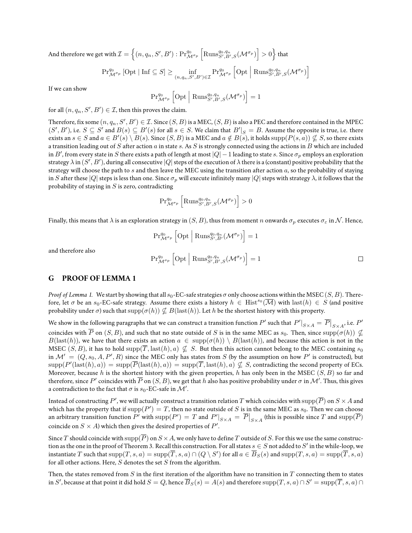And therefore we get with  $\mathcal{I}=\left\{(n,q_n,S',B'): \Pr_{\mathcal{M}^{\sigma_p}}^{q_0} \left[\mathrm{Runs}_{S',B',S}^{q_0,q_n}(\mathcal{M}^{\sigma_p})\right]>0\right\}$  that

$$
\Pr_{\mathcal{M}^{\sigma_p}}^{q_0} [\text{Opt} \mid \text{Inf} \subseteq S] \ge \inf_{(n,q_n,S',B') \in \mathcal{I}} \Pr_{\mathcal{M}^{\sigma_p}}^{q_0} [\text{Opt} \mid \text{Runs}_{S',B',S}^{q_0,q_n}(\mathcal{M}^{\sigma_p})]
$$

If we can show

$$
\mathrm{Pr}^{q_0}_{\mathcal{M}^{\sigma_p}}\left[\mathrm{Opt}\left|\right. \mathrm{Runs}^{q_0,q_n}_{S',B',S}(\mathcal{M}^{\sigma_p})\right]=1
$$

for all  $(n, q_n, S', B') \in \mathcal{I}$ , then this proves the claim.

Therefore, fix some  $(n, q_n, S', B') \in \mathcal{I}$ . Since  $(S, B)$  is a MEC,  $(S, B)$  is also a PEC and therefore contained in the MPEC  $(S', B')$ , i.e.  $S \subseteq S'$  and  $B(s) \subseteq B'(s)$  for all  $s \in S$ . We claim that  $B'|_S = B$ . Assume the opposite is true, i.e. there exists an  $s\in S$  and  $a\in B'(s)\setminus B(s).$  Since  $(S,B)$  is a MEC and  $a\notin B(s),$  it holds  $\mathrm{supp}(P(s,a))\nsubseteq S,$  so there exists a transition leading out of S after action  $a$  in state  $s$ . As S is strongly connected using the actions in  $B$  which are included in  $B'$ , from every state in  $S$  there exists a path of length at most  $|Q|-1$  leading to state  $s.$  Since  $\sigma_p$  employs an exploration strategy  $\lambda$  in  $(S',B')$ , during all consecutive  $|Q|$  steps of the execution of  $\lambda$  there is a (constant) positive probability that the strategy will choose the path to  $s$  and then leave the MEC using the transition after action  $a$ , so the probability of staying in S after these |Q| steps is less than one. Since  $\sigma_p$  will execute infinitely many |Q| steps with strategy  $\lambda$ , it follows that the probability of staying in  $S$  is zero, contradicting

$$
\mathrm{Pr}^{q_0}_{\mathcal{M}^{\sigma_p}} \left[ \mathrm{Runs}^{q_0,q_n}_{S',B',S}(\mathcal{M}^{\sigma_p}) \right] > 0
$$

Finally, this means that  $\lambda$  is an exploration strategy in  $(S, B)$ , thus from moment n onwards  $\sigma_p$  executes  $\sigma_{\epsilon}$  in N. Hence,

$$
\Pr_{\mathcal{M}^{\sigma_p}}^{q_0} \left[ \text{Opt} \mid \text{Runs}_{S',B'}^{q_0,q_n}(\mathcal{M}^{\sigma_p}) \right] = 1
$$
\n
$$
\Pr_{\mathcal{M}^{\sigma_p}}^{q_0} \left[ \text{Opt} \mid \text{Runs}_{S',B',S}^{q_0,q_n}(\mathcal{M}^{\sigma_p}) \right] = 1
$$

and therefore also

### **G PROOF OF LEMMA 1**

*Proof of Lemma 1.* We start by showing that all  $s_0$ -EC-safe strategies  $\sigma$  only choose actions within the MSEC (S, B). Therefore, let  $\sigma$  be an  $s_0$ -EC-safe strategy. Assume there exists a history  $h\in \mathrm{Hist}^{s_0}(\overline{\mathcal M})$  with  $\mathrm{last}(h)\in S$  (and positive probability under  $\sigma$ ) such that  $\text{supp}(\sigma(h)) \nsubseteq B(\text{last}(h))$ . Let h be the shortest history with this property.

We show in the following paragraphs that we can construct a transition function  $P'$  such that  $\left. P'\right|_{S\times A}=\left. \overline{P}\right|_{S\times A}$ , i.e.  $P'$ coincides with  $\overline{P}$  on  $(S, B)$ , and such that no state outside of S is in the same MEC as  $s_0$ . Then, since  $\text{supp}(\sigma(h)) \nsubseteq$  $B(\text{last}(h))$ , we have that there exists an action  $a \in \text{supp}(\sigma(h)) \setminus B(\text{last}(h))$ , and because this action is not in the MSEC  $(S, B)$ , it has to hold  $\text{supp}(\overline{T}, \text{last}(h), a) \nsubseteq S$ . But then this action cannot belong to the MEC containing s<sub>0</sub> in  $\mathcal{M}'=(Q,s_0,A,P',R)$  since the MEC only has states from  $S$  (by the assumption on how  $P'$  is constructed), but  $\text{supp}(P'(\text{last}(h), a)) = \text{supp}(\overline{P}(\text{last}(h), a)) = \text{supp}(\overline{T}, \text{last}(h), a) \nsubseteq S$ , contradicting the second property of ECs. Moreover, because h is the shortest history with the given properties, h has only been in the MSEC ( $S, B$ ) so far and therefore, since  $P'$  coincides with  $\overline P$  on  $(S,B)$ , we get that  $h$  also has positive probability under  $\sigma$  in  $\mathcal M'.$  Thus, this gives a contradiction to the fact that  $\sigma$  is  $s_0\text{-}\text{EC-safe}$  in  $\mathcal{M}'.$ 

Instead of constructing  $P'$ , we will actually construct a transition relation  $T$  which coincides with  $\mathrm{supp}(\overline{P})$  on  $S\times A$  and which has the property that if  $\mathrm{supp}(P')=T$ , then no state outside of  $S$  is in the same MEC as  $s_0.$  Then we can choose an arbitrary transition function  $P'$  with  $\mathrm{supp}(P') = T$  and  $\left. P'\right|_{S \times A} = \left. \overline{P}\right|_{S \times A}$  (this is possible since  $T$  and  $\mathrm{supp}(\overline{P})$ coincide on  $S \times A$ ) which then gives the desired properties of  $P'$ .

Since T should coincide with supp( $\overline{P}$ ) on  $S \times A$ , we only have to define T outside of S. For this we use the same construction as the one in the proof of Theorem 3. Recall this construction. For all states  $s \in S$  not added to  $S'$  in the while-loop, we instantiate  $T$  such that  $\mathrm{supp}(T,s,a)=\mathrm{supp}(\overline{T},s,a)\cap (Q\setminus S')$  for all  $a\in \overline{B}_S(s)$  and  $\mathrm{supp}(T,s,a)=\mathrm{supp}(\overline{T},s,a)$ for all other actions. Here,  $S$  denotes the set  $S$  from the algorithm.

Then, the states removed from  $S$  in the first iteration of the algorithm have no transition in  $T$  connecting them to states in  $S'$ , because at that point it did hold  $S=Q$ , hence  $\overline{B}_S(s)=A(s)$  and therefore  ${\rm supp}(T,s,a)\cap S'={\rm supp}(\overline{T},s,a)\cap S'$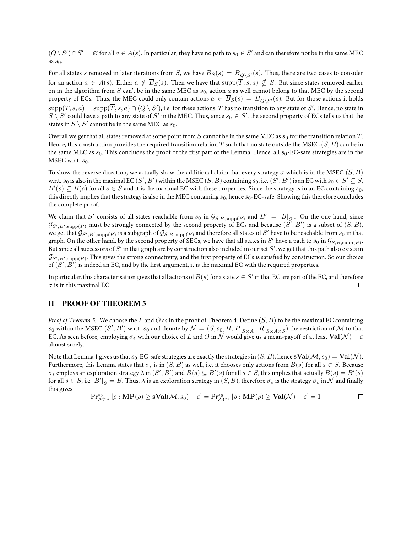$(Q\setminus S')\cap S'=\varnothing$  for all  $a\in A(s).$  In particular, they have no path to  $s_0\in S'$  and can therefore not be in the same MEC as  $s_0$ .

For all states s removed in later iterations from S, we have  $\overline{B}_S(s) = \underline{B}_{Q\setminus S'}(s)$ . Thus, there are two cases to consider for an action  $a \in A(s)$ . Either  $a \notin \overline{B}_S(s)$ . Then we have that  $supp(\overline{T}, s, a) \nsubseteq S$ . But since states removed earlier on in the algorithm from S can't be in the same MEC as  $s_0$ , action a as well cannot belong to that MEC by the second property of ECs. Thus, the MEC could only contain actions  $a \in B_S(s) = \underline{B}_{Q\setminus S'}(s)$ . But for those actions it holds  ${\rm supp}(T,s,a)={\rm supp}({\overline T},s,a)\cap (Q\setminus S'),$  i.e. for these actions,  $T$  has no transition to any state of  $S'.$  Hence, no state in  $S\setminus S'$  could have a path to any state of  $S'$  in the MEC. Thus, since  $s_0\in S'$ , the second property of ECs tells us that the states in  $S \setminus S'$  cannot be in the same MEC as  $s_0$ .

Overall we get that all states removed at some point from S cannot be in the same MEC as  $s_0$  for the transition relation T. Hence, this construction provides the required transition relation T such that no state outside the MSEC  $(S, B)$  can be in the same MEC as  $s_0$ . This concludes the proof of the first part of the Lemma. Hence, all  $s_0$ -EC-safe strategies are in the MSEC w.r.t.  $s_0$ .

To show the reverse direction, we actually show the additional claim that every strategy  $\sigma$  which is in the MSEC (S, B) w.r.t.  $s_0$  is also in the maximal EC  $(S',B')$  within the MSEC  $(S,B)$  containing  $s_0$ , i.e.  $(S',B')$  is an EC with  $s_0\in S'\subseteq S,$  $B'(s)\subseteq B(s)$  for all  $s\in S$  and it is the maximal EC with these properties. Since the strategy is in an EC containing  $s_0$ , this directly implies that the strategy is also in the MEC containing  $s_0$ , hence  $s_0$ -EC-safe. Showing this therefore concludes the complete proof.

We claim that S' consists of all states reachable from  $s_0$  in  $\mathcal{G}_{S,B,\text{supp}(P)}$  and  $B' = B|_{S'}$ . On the one hand, since  $\mathcal{G}_{S',B',\text{supp}(P)}$  must be strongly connected by the second property of ECs and because  $(\tilde{S'},B')$  is a subset of  $(S,B),$ we get that  $\mathcal{G}_{S',B',\text{supp}(P)}$  is a subgraph of  $\mathcal{G}_{S,B,\text{supp}(P)}$  and therefore all states of  $S'$  have to be reachable from  $s_0$  in that graph. On the other hand, by the second property of SECs, we have that all states in  $S'$  have a path to  $s_0$  in  $\mathcal{G}_{S,B,{\rm supp}(P)}$ . But since all successors of  $S'$  in that graph are by construction also included in our set  $S'$ , we get that this path also exists in  $\mathcal{G}_{S',B',\text{supp}(P)}.$  This gives the strong connectivity, and the first property of ECs is satisfied by construction. So our choice of  $(S', B')$  is indeed an EC, and by the first argument, it is the maximal EC with the required properties.

In particular, this characterisation gives that all actions of  $B(s)$  for a state  $s\in S'$  in that EC are part of the EC, and therefore  $\sigma$  is in this maximal EC.  $\Box$ 

# **H PROOF OF THEOREM 5**

*Proof of Theorem 5.* We choose the L and O as in the proof of Theorem 4. Define  $(S, B)$  to be the maximal EC containing  $s_0$  within the MSEC  $(S',B')$  w.r.t.  $s_0$  and denote by  $\mathcal{N}=(S,s_0,B,P|_{S\times A},R|_{S\times A\times S})$  the restriction of  $\mathcal M$  to that EC. As seen before, employing  $\sigma_{\varepsilon}$  with our choice of L and O in N would give us a mean-payoff of at least  $Val(\mathcal{N}) - \varepsilon$ almost surely.

Note that Lemma 1 gives us that  $s_0$ -EC-safe strategies are exactly the strategies in  $(S, B)$ , hence  $\textbf{Val}(\mathcal{M}, s_0) = \textbf{Val}(\mathcal{N})$ . Furthermore, this Lemma states that  $\sigma_s$  is in  $(S, B)$  as well, i.e. it chooses only actions from  $B(s)$  for all  $s \in S$ . Because  $\sigma_s$  employs an exploration strategy  $\lambda$  in  $(S',B')$  and  $B(s)\subseteq B'(s)$  for all  $s\in S$ , this implies that actually  $B(s)=B'(s)$ for all  $s\in S$ , i.e.  $\left. B^{\prime}\right| _{S}=B.$  Thus,  $\lambda$  is an exploration strategy in  $(S,B)$ , therefore  $\sigma_{s}$  is the strategy  $\sigma_{\varepsilon}$  in  ${\cal N}$  and finally this gives

$$
\mathrm{Pr}^{s_0}_{\mathcal{M}^{\sigma_s}}\left[\rho:\mathbf{MP}(\rho)\geq \mathbf{sVal}(\mathcal{M},s_0)-\varepsilon\right]=\mathrm{Pr}^{s_0}_{\mathcal{M}^{\sigma_s}}\left[\rho:\mathbf{MP}(\rho)\geq \mathbf{Val}(\mathcal{N})-\varepsilon\right]=1
$$